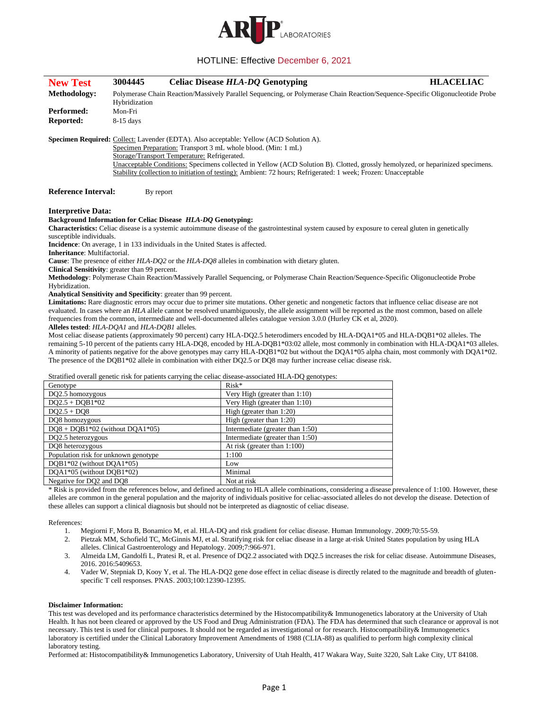

## HOTLINE: Effective December 6, 2021

| <b>New Test</b>                                | 3004445                                                                                                                                        | <b>Celiac Disease HLA-DQ Genotyping</b>                                                                                                                   | <b>HLACELIAC</b> |
|------------------------------------------------|------------------------------------------------------------------------------------------------------------------------------------------------|-----------------------------------------------------------------------------------------------------------------------------------------------------------|------------------|
| <b>Methodology:</b>                            | Polymerase Chain Reaction/Massively Parallel Sequencing, or Polymerase Chain Reaction/Sequence-Specific Oligonucleotide Probe<br>Hybridization |                                                                                                                                                           |                  |
| Performed:                                     | Mon-Fri                                                                                                                                        |                                                                                                                                                           |                  |
| Reported:                                      | $8-15$ days                                                                                                                                    |                                                                                                                                                           |                  |
|                                                |                                                                                                                                                | Specimen Required: Collect: Lavender (EDTA). Also acceptable: Yellow (ACD Solution A).<br>Specimen Preparation: Transport 3 mL whole blood. (Min: 1 mL)   |                  |
|                                                |                                                                                                                                                | Storage/Transport Temperature: Refrigerated.                                                                                                              |                  |
|                                                |                                                                                                                                                | Unacceptable Conditions: Specimens collected in Yellow (ACD Solution B). Clotted, grossly hemolyzed, or heparinized specimens.                            |                  |
|                                                |                                                                                                                                                | Stability (collection to initiation of testing): Ambient: 72 hours; Refrigerated: 1 week; Frozen: Unacceptable                                            |                  |
| <b>Reference Interval:</b>                     |                                                                                                                                                | By report                                                                                                                                                 |                  |
|                                                |                                                                                                                                                |                                                                                                                                                           |                  |
| <b>Interpretive Data:</b>                      |                                                                                                                                                | <b>Background Information for Celiac Disease HLA-DQ Genotyping:</b>                                                                                       |                  |
|                                                |                                                                                                                                                | <b>Characteristics:</b> Celiac disease is a systemic autoimmune disease of the gastrointestinal system caused by exposure to cereal gluten in genetically |                  |
| susceptible individuals.                       |                                                                                                                                                |                                                                                                                                                           |                  |
|                                                |                                                                                                                                                | Incidence: On average, 1 in 133 individuals in the United States is affected.                                                                             |                  |
| Inheritance: Multifactorial.                   |                                                                                                                                                |                                                                                                                                                           |                  |
|                                                |                                                                                                                                                | <b>Cause:</b> The presence of either HLA-DQ2 or the HLA-DQ8 alleles in combination with dietary gluten.                                                   |                  |
| Clinical Sensitivity: greater than 99 percent. |                                                                                                                                                |                                                                                                                                                           |                  |
|                                                |                                                                                                                                                | Methodology: Polymerase Chain Reaction/Massively Parallel Sequencing, or Polymerase Chain Reaction/Sequence-Specific Oligonucleotide Probe                |                  |
| Hybridization.                                 |                                                                                                                                                |                                                                                                                                                           |                  |
|                                                |                                                                                                                                                | Analytical Sensitivity and Specificity: greater than 99 percent.                                                                                          |                  |
|                                                |                                                                                                                                                | Limitations: Rare diagnostic errors may occur due to primer site mutations. Other genetic and nongenetic factors that influence celiac disease are not    |                  |
|                                                |                                                                                                                                                | evaluated. In cases where an HLA allele cannot be resolved unambiguously, the allele assignment will be reported as the most common, based on allele      |                  |
|                                                |                                                                                                                                                | frequencies from the common, intermediate and well-documented alleles catalogue version 3.0.0 (Hurley CK et al, 2020).                                    |                  |
| Alleles tested: HLA-DOA1 and HLA-DOB1 alleles. |                                                                                                                                                |                                                                                                                                                           |                  |
|                                                |                                                                                                                                                | Most celiac disease patients (approximately 90 percent) carry HLA-DQ2.5 heterodimers encoded by HLA-DQA1*05 and HLA-DQB1*02 alleles. The                  |                  |
|                                                |                                                                                                                                                | remaining 5-10 percent of the patients carry HLA-DQ8, encoded by HLA-DQB1*03:02 allele, most commonly in combination with HLA-DQA1*03 alleles.            |                  |
|                                                |                                                                                                                                                | A minority of patients negative for the above genotypes may carry HLA-DQB1*02 but without the DQA1*05 alpha chain, most commonly with DQA1*02.            |                  |
|                                                |                                                                                                                                                | The presence of the DQB1*02 allele in combination with either DQ2.5 or DQ8 may further increase celiac disease risk.                                      |                  |
|                                                |                                                                                                                                                | Stratified overall genetic risk for patients carrying the celiac disease-associated HLA-DQ genotypes:                                                     |                  |
| Genotype                                       |                                                                                                                                                | Risk*                                                                                                                                                     |                  |
| DQ2.5 homozygous                               |                                                                                                                                                | Very High (greater than 1:10)                                                                                                                             |                  |
| $DQ2.5 + DOB1*02$                              |                                                                                                                                                | Very High (greater than 1:10)                                                                                                                             |                  |
| $DQ2.5 + DQ8$                                  |                                                                                                                                                | High (greater than $1:20$ )                                                                                                                               |                  |
| $D\Omega$                                      |                                                                                                                                                | $ILab$ (quantou than $1.20$ )                                                                                                                             |                  |

Q8 homozygous High (greater than 1:20) DQ8 + DQB1\*02 (without DQA1\*05) Intermediate (greater than 1:50) DQ2.5 heterozygous Intermediate (greater than 1:50) DQ8 heterozygous At risk (greater than 1:100)

Population risk for unknown genotype 1:100 DQB1\*02 (without DQA1\*05) Low DQA1\*05 (without DQB1\*02) Minimal

Negative for DQ2 and DQ8 Not at risk \* Risk is provided from the references below, and defined according to HLA allele combinations, considering a disease prevalence of 1:100. However, these alleles are common in the general population and the majority of individuals positive for celiac-associated alleles do not develop the disease. Detection of these alleles can support a clinical diagnosis but should not be interpreted as diagnostic of celiac disease.

## References:

- 1. Megiorni F, Mora B, Bonamico M, et al. HLA-DQ and risk gradient for celiac disease. Human Immunology. 2009;70:55-59.
- 2. Pietzak MM, Schofield TC, McGinnis MJ, et al. Stratifying risk for celiac disease in a large at-risk United States population by using HLA alleles. Clinical Gastroenterology and Hepatology. 2009;7:966-971.
- 3. Almeida LM, Gandolfi L, Pratesi R, et al. Presence of DQ2.2 associated with DQ2.5 increases the risk for celiac disease. Autoimmune Diseases, 2016. 2016:5409653.
- 4. Vader W, Stepniak D, Kooy Y, et al. The HLA-DQ2 gene dose effect in celiac disease is directly related to the magnitude and breadth of glutenspecific T cell responses. PNAS. 2003;100:12390-12395.

## **Disclaimer Information:**

This test was developed and its performance characteristics determined by the Histocompatibility& Immunogenetics laboratory at the University of Utah Health. It has not been cleared or approved by the US Food and Drug Administration (FDA). The FDA has determined that such clearance or approval is not necessary. This test is used for clinical purposes. It should not be regarded as investigational or for research. Histocompatibility& Immunogenetics laboratory is certified under the Clinical Laboratory Improvement Amendments of 1988 (CLIA-88) as qualified to perform high complexity clinical laboratory testing.

Performed at: Histocompatibility& Immunogenetics Laboratory, University of Utah Health, 417 Wakara Way, Suite 3220, Salt Lake City, UT 84108.